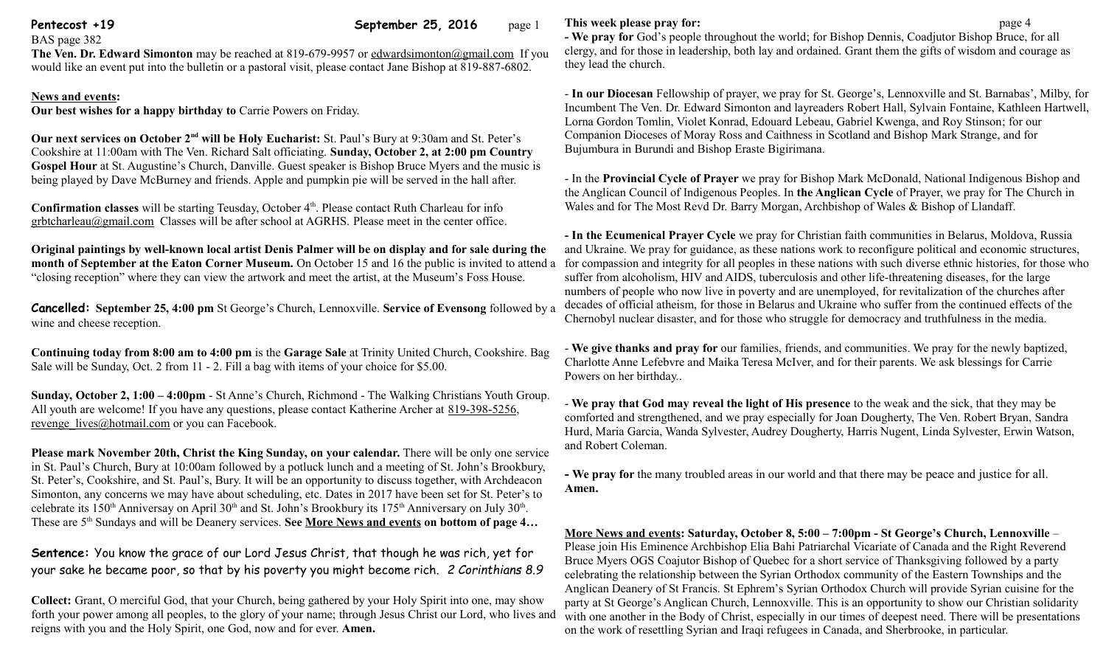**Pentecost +19 September 25, 2016** page 1

BAS page 382

**The Ven. Dr. Edward Simonton** may be reached at 819-679-9957 or [edwardsimonton@gmail.com](mailto:edwardsimonton@gmail.com) If you would like an event put into the bulletin or a pastoral visit, please contact Jane Bishop at 819-887-6802.

## **News and events:**

**Our best wishes for a happy birthday to** Carrie Powers on Friday.

**Our next services on October 2nd will be Holy Eucharist:** St. Paul's Bury at 9:30am and St. Peter's Cookshire at 11:00am with The Ven. Richard Salt officiating. **Sunday, October 2, at 2:00 pm Country Gospel Hour** at St. Augustine's Church, Danville. Guest speaker is Bishop Bruce Myers and the music is being played by Dave McBurney and friends. Apple and pumpkin pie will be served in the hall after.

**Confirmation classes** will be starting Teusday, October 4<sup>th</sup>. Please contact Ruth Charleau for info [grbtcharleau@gmail.com](mailto:grbtcharleau@gmail.com) Classes will be after school at AGRHS. Please meet in the center office.

**Original paintings by well-known local artist Denis Palmer will be on display and for sale during the month of September at the Eaton Corner Museum.** On October 15 and 16 the public is invited to attend a "closing reception" where they can view the artwork and meet the artist, at the Museum's Foss House.

**Cancelled: September 25, 4:00 pm** St George's Church, Lennoxville. **Service of Evensong** followed by a wine and cheese reception.

**Continuing today from 8:00 am to 4:00 pm** is the **Garage Sale** at Trinity United Church, Cookshire. Bag Sale will be Sunday, Oct. 2 from 11 - 2. Fill a bag with items of your choice for \$5.00.

**Sunday, October 2, 1:00 – 4:00pm** - St Anne's Church, Richmond - The Walking Christians Youth Group. All youth are welcome! If you have any questions, please contact Katherine Archer at [819-398-5256,](tel:819-398-5256) revenge lives@hotmail.com or you can Facebook.

**Please mark November 20th, Christ the King Sunday, on your calendar.** There will be only one service in St. Paul's Church, Bury at 10:00am followed by a potluck lunch and a meeting of St. John's Brookbury, St. Peter's, Cookshire, and St. Paul's, Bury. It will be an opportunity to discuss together, with Archdeacon Simonton, any concerns we may have about scheduling, etc. Dates in 2017 have been set for St. Peter's to celebrate its 150<sup>th</sup> Anniversay on April 30<sup>th</sup> and St. John's Brookbury its 175<sup>th</sup> Anniversary on July 30<sup>th</sup>. These are 5<sup>th</sup> Sundays and will be Deanery services. **See More News and events on bottom of page 4...** 

**Sentence:** You know the grace of our Lord Jesus Christ, that though he was rich, yet for your sake he became poor, so that by his poverty you might become rich. *2 Corinthians 8.9*

**Collect:** Grant, O merciful God, that your Church, being gathered by your Holy Spirit into one, may show forth your power among all peoples, to the glory of your name; through Jesus Christ our Lord, who lives and reigns with you and the Holy Spirit, one God, now and for ever. **Amen.**

## **This week please pray for: page 4**

**- We pray for** God's people throughout the world; for Bishop Dennis, Coadjutor Bishop Bruce, for all clergy, and for those in leadership, both lay and ordained. Grant them the gifts of wisdom and courage as they lead the church.

- **In our Diocesan** Fellowship of prayer, we pray for St. George's, Lennoxville and St. Barnabas', Milby, for Incumbent The Ven. Dr. Edward Simonton and layreaders Robert Hall, Sylvain Fontaine, Kathleen Hartwell, Lorna Gordon Tomlin, Violet Konrad, Edouard Lebeau, Gabriel Kwenga, and Roy Stinson; for our Companion Dioceses of Moray Ross and Caithness in Scotland and Bishop Mark Strange, and for Bujumbura in Burundi and Bishop Eraste Bigirimana.

- In the **Provincial Cycle of Prayer** we pray for Bishop Mark McDonald, National Indigenous Bishop and the Anglican Council of Indigenous Peoples. In **the Anglican Cycle** of Prayer, we pray for The Church in Wales and for The Most Revd Dr. Barry Morgan, Archbishop of Wales & Bishop of Llandaff.

**- In the Ecumenical Prayer Cycle** we pray for Christian faith communities in Belarus, Moldova, Russia and Ukraine. We pray for guidance, as these nations work to reconfigure political and economic structures, for compassion and integrity for all peoples in these nations with such diverse ethnic histories, for those who suffer from alcoholism, HIV and AIDS, tuberculosis and other life-threatening diseases, for the large numbers of people who now live in poverty and are unemployed, for revitalization of the churches after decades of official atheism, for those in Belarus and Ukraine who suffer from the continued effects of the Chernobyl nuclear disaster, and for those who struggle for democracy and truthfulness in the media.

- **We give thanks and pray for** our families, friends, and communities. We pray for the newly baptized, Charlotte Anne Lefebvre and Maika Teresa McIver, and for their parents. We ask blessings for Carrie Powers on her birthday..

- **We pray that God may reveal the light of His presence** to the weak and the sick, that they may be comforted and strengthened, and we pray especially for Joan Dougherty, The Ven. Robert Bryan, Sandra Hurd, Maria Garcia, Wanda Sylvester, Audrey Dougherty, Harris Nugent, Linda Sylvester, Erwin Watson, and Robert Coleman.

**- We pray for** the many troubled areas in our world and that there may be peace and justice for all. **Amen.**

**More News and events: Saturday, October 8, 5:00 – 7:00pm - St George's Church, Lennoxville** – Please join His Eminence Archbishop Elia Bahi Patriarchal Vicariate of Canada and the Right Reverend Bruce Myers OGS Coajutor Bishop of Quebec for a short service of Thanksgiving followed by a party celebrating the relationship between the Syrian Orthodox community of the Eastern Townships and the Anglican Deanery of St Francis. St Ephrem's Syrian Orthodox Church will provide Syrian cuisine for the party at St George's Anglican Church, Lennoxville. This is an opportunity to show our Christian solidarity with one another in the Body of Christ, especially in our times of deepest need. There will be presentations on the work of resettling Syrian and Iraqi refugees in Canada, and Sherbrooke, in particular.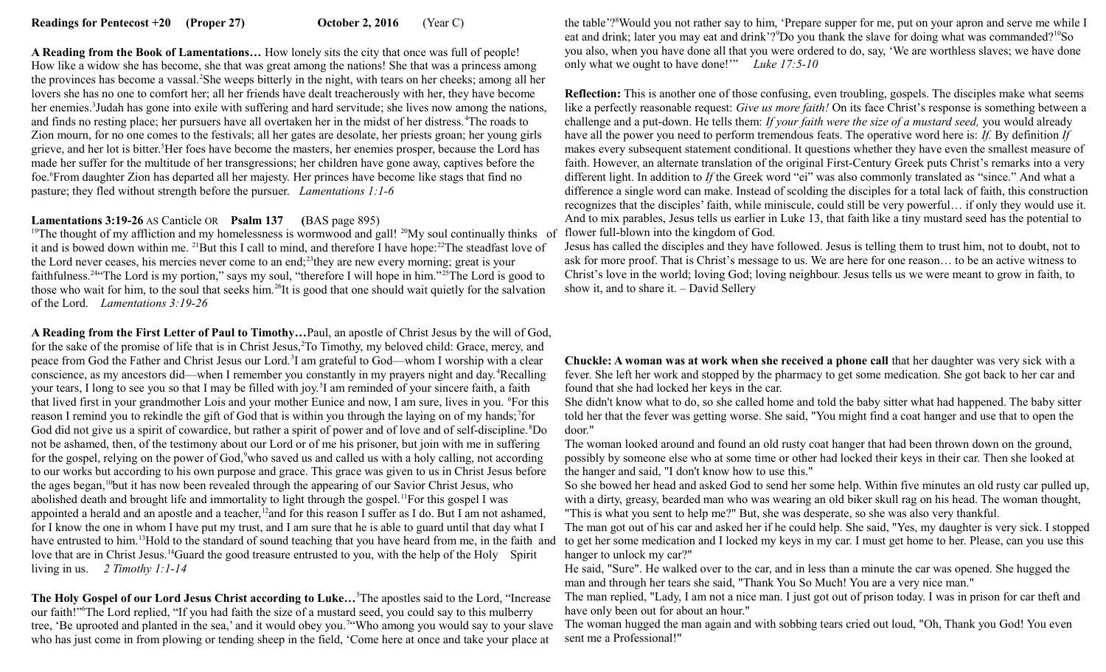**A Reading from the Book of Lamentations…** How lonely sits the city that once was full of people! How like a widow she has become, she that was great among the nations! She that was a princess among the provinces has become a vassal.<sup>2</sup>She weeps bitterly in the night, with tears on her cheeks; among all her lovers she has no one to comfort her; all her friends have dealt treacherously with her, they have become her enemies.<sup>3</sup>Judah has gone into exile with suffering and hard servitude; she lives now among the nations, and finds no resting place; her pursuers have all overtaken her in the midst of her distress.<sup>4</sup>The roads to Zion mourn, for no one comes to the festivals; all her gates are desolate, her priests groan; her young girls grieve, and her lot is bitter.<sup>5</sup>Her foes have become the masters, her enemies prosper, because the Lord has made her suffer for the multitude of her transgressions; her children have gone away, captives before the foe.<sup>6</sup>From daughter Zion has departed all her majesty. Her princes have become like stags that find no pasture; they fled without strength before the pursuer. *Lamentations 1:1-6* 

## **Lamentations 3:19-26** AS Canticle OR **Psalm 137 (**BAS page 895)

<sup>19</sup>The thought of my affliction and my homelessness is wormwood and gall! <sup>20</sup>My soul continually thinks of it and is bowed down within me. <sup>21</sup>But this I call to mind, and therefore I have hope:<sup>22</sup>The steadfast love of the Lord never ceases, his mercies never come to an end;<sup>23</sup>they are new every morning; great is your faithfulness.<sup>24</sup>"The Lord is my portion," says my soul, "therefore I will hope in him."<sup>25</sup>The Lord is good to those who wait for him, to the soul that seeks him.<sup>26</sup>It is good that one should wait quietly for the salvation of the Lord. *Lamentations 3:19-26*

**A Reading from the First Letter of Paul to Timothy…**Paul, an apostle of Christ Jesus by the will of God, for the sake of the promise of life that is in Christ Jesus,<sup>2</sup>To Timothy, my beloved child: Grace, mercy, and peace from God the Father and Christ Jesus our Lord.<sup>3</sup>I am grateful to God—whom I worship with a clear conscience, as my ancestors did—when I remember you constantly in my prayers night and day.<sup>4</sup>Recalling your tears, I long to see you so that I may be filled with joy.<sup>5</sup>I am reminded of your sincere faith, a faith that lived first in your grandmother Lois and your mother Eunice and now, I am sure, lives in you. <sup>6</sup>For this reason I remind you to rekindle the gift of God that is within you through the laying on of my hands;<sup>7</sup>for God did not give us a spirit of cowardice, but rather a spirit of power and of love and of self-discipline.<sup>8</sup>Do not be ashamed, then, of the testimony about our Lord or of me his prisoner, but join with me in suffering for the gospel, relying on the power of God,<sup>9</sup>who saved us and called us with a holy calling, not according to our works but according to his own purpose and grace. This grace was given to us in Christ Jesus before the ages began,<sup>10</sup>but it has now been revealed through the appearing of our Savior Christ Jesus, who abolished death and brought life and immortality to light through the gospel.<sup>11</sup>For this gospel I was appointed a herald and an apostle and a teacher,<sup>12</sup> and for this reason I suffer as I do. But I am not ashamed, for I know the one in whom I have put my trust, and I am sure that he is able to guard until that day what I have entrusted to him.<sup>13</sup>Hold to the standard of sound teaching that you have heard from me, in the faith and love that are in Christ Jesus.<sup>14</sup>Guard the good treasure entrusted to you, with the help of the Holy Spirit living in us. *2 Timothy 1:1-14*

**The Holy Gospel of our Lord Jesus Christ according to Luke…**<sup>5</sup>The apostles said to the Lord, "Increase our faith!"<sup>6</sup>The Lord replied, "If you had faith the size of a mustard seed, you could say to this mulberry tree, 'Be uprooted and planted in the sea,' and it would obey you.<sup>74</sup> Who among you would say to your slave who has just come in from plowing or tending sheep in the field, 'Come here at once and take your place at

the table'?<sup>8</sup>Would you not rather say to him, 'Prepare supper for me, put on your apron and serve me while I eat and drink; later you may eat and drink'?<sup>9</sup>Do you thank the slave for doing what was commanded?<sup>10</sup>So you also, when you have done all that you were ordered to do, say, 'We are worthless slaves; we have done only what we ought to have done!'" *Luke 17:5-10*

**Reflection:** This is another one of those confusing, even troubling, gospels. The disciples make what seems like a perfectly reasonable request: *Give us more faith!* On its face Christ's response is something between a challenge and a put-down. He tells them: *If your faith were the size of a mustard seed,* you would already have all the power you need to perform tremendous feats. The operative word here is: *If.* By definition *If* makes every subsequent statement conditional. It questions whether they have even the smallest measure of faith. However, an alternate translation of the original First-Century Greek puts Christ's remarks into a very different light. In addition to *If* the Greek word "ei" was also commonly translated as "since." And what a difference a single word can make. Instead of scolding the disciples for a total lack of faith, this construction recognizes that the disciples' faith, while miniscule, could still be very powerful… if only they would use it. And to mix parables, Jesus tells us earlier in Luke 13, that faith like a tiny mustard seed has the potential to flower full-blown into the kingdom of God.

Jesus has called the disciples and they have followed. Jesus is telling them to trust him, not to doubt, not to ask for more proof. That is Christ's message to us. We are here for one reason… to be an active witness to Christ's love in the world; loving God; loving neighbour. Jesus tells us we were meant to grow in faith, to show it, and to share it. – David Sellery

**Chuckle: A woman was at work when she received a phone call** that her daughter was very sick with a fever. She left her work and stopped by the pharmacy to get some medication. She got back to her car and found that she had locked her keys in the car.

She didn't know what to do, so she called home and told the baby sitter what had happened. The baby sitter told her that the fever was getting worse. She said, "You might find a coat hanger and use that to open the door."

The woman looked around and found an old rusty coat hanger that had been thrown down on the ground, possibly by someone else who at some time or other had locked their keys in their car. Then she looked at the hanger and said, "I don't know how to use this."

So she bowed her head and asked God to send her some help. Within five minutes an old rusty car pulled up, with a dirty, greasy, bearded man who was wearing an old biker skull rag on his head. The woman thought, "This is what you sent to help me?" But, she was desperate, so she was also very thankful.

The man got out of his car and asked her if he could help. She said, "Yes, my daughter is very sick. I stopped to get her some medication and I locked my keys in my car. I must get home to her. Please, can you use this hanger to unlock my car?"

He said, "Sure". He walked over to the car, and in less than a minute the car was opened. She hugged the man and through her tears she said, "Thank You So Much! You are a very nice man."

The man replied, "Lady, I am not a nice man. I just got out of prison today. I was in prison for car theft and have only been out for about an hour."

The woman hugged the man again and with sobbing tears cried out loud, "Oh, Thank you God! You even sent me a Professional!"